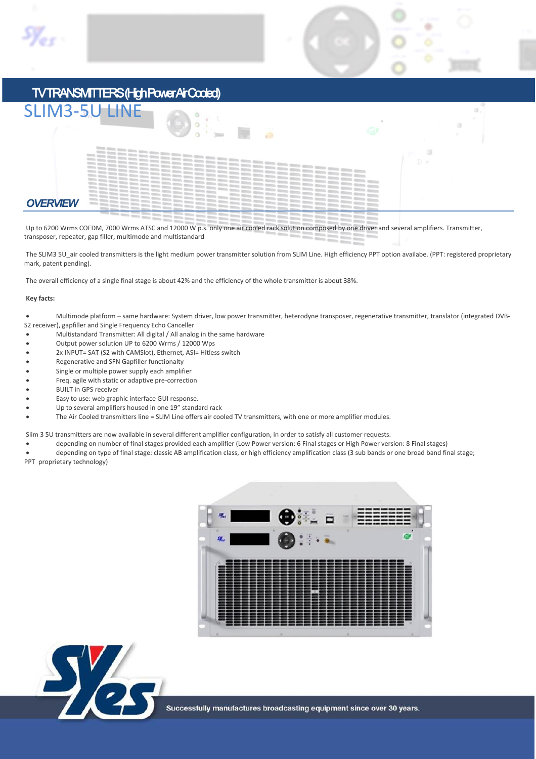

# TV TRANSMITTERS (High Power Air Cooled)

| <b>SLIM3-5U LINE</b> | GШ  |
|----------------------|-----|
|                      | D b |
| <b>OVERVIEW</b>      |     |

Up to 6200 Wrms COFDM, 7000 Wrms ATSC and 12000 W p.s. only one air cooled rack solution composed by one driver and several amplifiers. Transmitter, transposer, repeater, gap filler, multimode and multistandard

The SLIM3 5U\_air cooled transmitters is the light medium power transmitter solution from SLIM Line. High efficiency PPT option availabe. (PPT: registered proprietary mark, patent pending).

The overall efficiency of a single final stage is about 42% and the efficiency of the whole transmitter is about 38%.

#### **Key facts:**

x Multimode platform – same hardware: System driver, low power transmitter, heterodyne transposer, regenerative transmitter, translator (integrated DVB-S2 receiver), gapfiller and Single Frequency Echo Canceller

- x Multistandard Transmitter: All digital / All analog in the same hardware
- x Output power solution UP to 6200 Wrms / 12000 Wps
- x 2x INPUT= SAT (S2 with CAMSlot), Ethernet, ASI= Hitless switch
- x Regenerative and SFN Gapfiller functionalty
- Single or multiple power supply each amplifier
- Freq. agile with static or adaptive pre-correction
- **BUILT in GPS receiver**
- Easy to use: web graphic interface GUI response.
- Up to several amplifiers housed in one 19" standard rack
- The Air Cooled transmitters line = SLIM Line offers air cooled TV transmitters, with one or more amplifier modules.

Slim 3 5U transmitters are now available in several different amplifier configuration, in order to satisfy all customer requests.

- x depending on number of final stages provided each amplifier (Low Power version: 6 Final stages or High Power version: 8 Final stages)
- depending on type of final stage: classic AB amplification class, or high efficiency amplification class (3 sub bands or one broad band final stage; PPT proprietary technology)



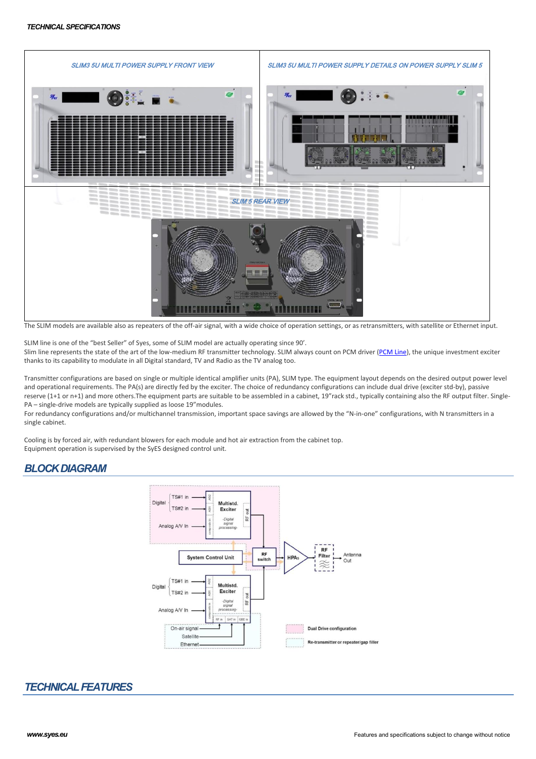

The SLIM models are available also as repeaters of the off-air signal, with a wide choice of operation settings, or as retransmitters, with satellite or Ethernet input.

SLIM line is one of the "best Seller" of Syes, some of SLIM model are actually operating since 90'. Slim line represents the state of the art of the low-medium RF transmitter technology. SLIM always count on PCM driver (PCM Line), the unique investment exciter thanks to its capability to modulate in all Digital standard, TV and Radio as the TV analog too.

Transmitter configurations are based on single or multiple identical amplifier units (PA), SLIM type. The equipment layout depends on the desired output power level and operational requirements. The PA(s) are directly fed by the exciter. The choice of redundancy configurations can include dual drive (exciter std-by), passive reserve (1+1 or n+1) and more others.The equipment parts are suitable to be assembled in a cabinet, 19"rack std., typically containing also the RF output filter. Single-PA – single-drive models are typically supplied as loose 19"modules.

For redundancy configurations and/or multichannel transmission, important space savings are allowed by the "N-in-one" configurations, with N transmitters in a single cabinet.

Cooling is by forced air, with redundant blowers for each module and hot air extraction from the cabinet top. Equipment operation is supervised by the SyES designed control unit.

# *BLOCK DIAGRAM*



# *TECHNICAL FEATURES*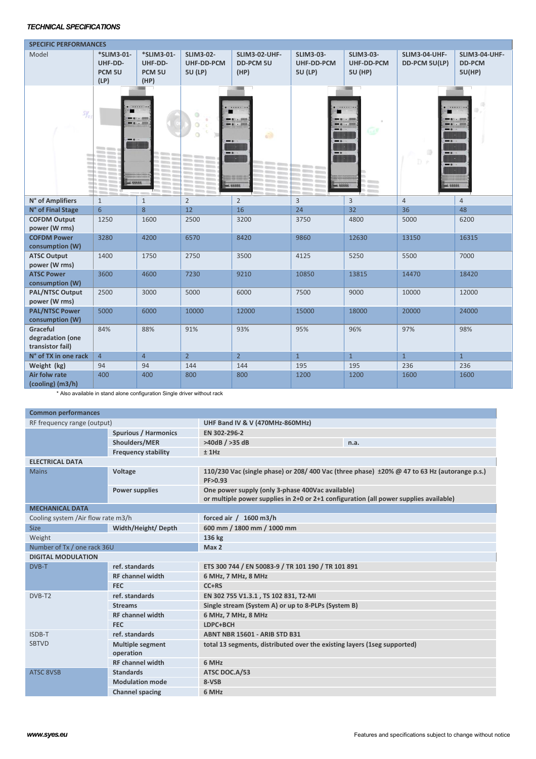### *TECHNICAL SPECIFICATIONS*

| <b>SPECIFIC PERFORMANCES</b>                     |                                                        |                                                    |                                                         |                                                      |                                                         |                                                  |                                |                                          |
|--------------------------------------------------|--------------------------------------------------------|----------------------------------------------------|---------------------------------------------------------|------------------------------------------------------|---------------------------------------------------------|--------------------------------------------------|--------------------------------|------------------------------------------|
| Model                                            | *SLIM3-01-<br>UHF-DD-<br>PCM <sub>5U</sub><br>(LP)     | *SLIM3-01-<br>UHF-DD-<br>PCM <sub>5U</sub><br>(HP) | <b>SLIM3-02-</b><br><b>UHF-DD-PCM</b><br><b>5U (LP)</b> | <b>SLIM3-02-UHF-</b><br><b>DD-PCM 5U</b><br>(HP)     | <b>SLIM3-03-</b><br><b>UHF-DD-PCM</b><br><b>5U (LP)</b> | <b>SLIM3-03-</b><br>UHF-DD-PCM<br><b>5U (HP)</b> | SLIM3-04-UHF-<br>DD-PCM 5U(LP) | SLIM3-04-UHF-<br><b>DD-PCM</b><br>5U(HP) |
| $S_{\mathcal{Y}_{\mathcal{Q}}}^{\mathcal{Y}}$    | <b>Philadelphia</b><br><b>FREEE!</b><br><b>College</b> | Miller                                             |                                                         | ailt<br>$\blacksquare$<br>10000000<br><b>Seppe L</b> | <br><b>SPRAGE</b>                                       | <b>HANGAHAR</b>                                  | Ð                              | <b>REEEE</b>                             |
| N° of Amplifiers                                 | $\mathbf{1}$                                           | $1\,$                                              | $\overline{2}$                                          | $\overline{2}$                                       | $\overline{3}$                                          | $\overline{3}$                                   | $\overline{4}$                 | $\overline{4}$                           |
| N° of Final Stage                                | $6\phantom{1}$                                         | 8                                                  | 12                                                      | 16                                                   | 24                                                      | 32                                               | 36                             | 48                                       |
| <b>COFDM Output</b><br>power (W rms)             | 1250                                                   | 1600                                               | 2500                                                    | 3200                                                 | 3750                                                    | 4800                                             | 5000                           | 6200                                     |
| <b>COFDM Power</b><br>consumption (W)            | 3280                                                   | 4200                                               | 6570                                                    | 8420                                                 | 9860                                                    | 12630                                            | 13150                          | 16315                                    |
| <b>ATSC Output</b><br>power (W rms)              | 1400                                                   | 1750                                               | 2750                                                    | 3500                                                 | 4125                                                    | 5250                                             | 5500                           | 7000                                     |
| <b>ATSC Power</b><br>consumption (W)             | 3600                                                   | 4600                                               | 7230                                                    | 9210                                                 | 10850                                                   | 13815                                            | 14470                          | 18420                                    |
| <b>PAL/NTSC Output</b><br>power (W rms)          | 2500                                                   | 3000                                               | 5000                                                    | 6000                                                 | 7500                                                    | 9000                                             | 10000                          | 12000                                    |
| <b>PAL/NTSC Power</b><br>consumption (W)         | 5000                                                   | 6000                                               | 10000                                                   | 12000                                                | 15000                                                   | 18000                                            | 20000                          | 24000                                    |
| Graceful<br>degradation (one<br>transistor fail) | 84%                                                    | 88%                                                | 91%                                                     | 93%                                                  | 95%                                                     | 96%                                              | 97%                            | 98%                                      |
| N° of TX in one rack                             | $\overline{4}$                                         | $\overline{4}$                                     | $\overline{2}$                                          | $\overline{2}$                                       | $\mathbf{1}$                                            | $\mathbf{1}$                                     | $\overline{1}$                 | $\mathbf{1}$                             |
| Weight (kg)                                      | 94                                                     | 94                                                 | 144                                                     | 144                                                  | 195                                                     | 195                                              | 236                            | 236                                      |
| Air folw rate<br>(cooling) (m3/h)                | 400                                                    | 400                                                | 800                                                     | 800                                                  | 1200                                                    | 1200                                             | 1600                           | 1600                                     |

\* Also available in stand alone configuration Single driver without rack

| <b>Common performances</b>         |                                      |                                                                                                                                           |      |  |
|------------------------------------|--------------------------------------|-------------------------------------------------------------------------------------------------------------------------------------------|------|--|
| RF frequency range (output)        |                                      | UHF Band IV & V (470MHz-860MHz)                                                                                                           |      |  |
|                                    | <b>Spurious / Harmonics</b>          | EN 302-296-2                                                                                                                              |      |  |
|                                    | Shoulders/MER                        | >40dB / >35dB                                                                                                                             | n.a. |  |
|                                    | <b>Frequency stability</b>           | ±1Hz                                                                                                                                      |      |  |
| <b>ELECTRICAL DATA</b>             |                                      |                                                                                                                                           |      |  |
| <b>Mains</b>                       | Voltage                              | 110/230 Vac (single phase) or 208/400 Vac (three phase) $\pm 20\%$ @ 47 to 63 Hz (autorange p.s.)<br>PF>0.93                              |      |  |
|                                    | <b>Power supplies</b>                | One power supply (only 3-phase 400Vac available)<br>or multiple power supplies in 2+0 or 2+1 configuration (all power supplies available) |      |  |
| <b>MECHANICAL DATA</b>             |                                      |                                                                                                                                           |      |  |
| Cooling system /Air flow rate m3/h |                                      | forced air / 1600 m3/h                                                                                                                    |      |  |
| <b>Size</b>                        | Width/Height/Depth                   | 600 mm / 1800 mm / 1000 mm                                                                                                                |      |  |
| Weight                             |                                      | 136 kg                                                                                                                                    |      |  |
| Number of Tx / one rack 36U        |                                      | Max 2                                                                                                                                     |      |  |
| <b>DIGITAL MODULATION</b>          |                                      |                                                                                                                                           |      |  |
| DVB-T                              | ref. standards                       | ETS 300 744 / EN 50083-9 / TR 101 190 / TR 101 891                                                                                        |      |  |
|                                    | <b>RF</b> channel width              | 6 MHz, 7 MHz, 8 MHz                                                                                                                       |      |  |
|                                    | <b>FEC</b>                           | C <sub>CRS</sub>                                                                                                                          |      |  |
| DVB-T2                             | ref. standards                       | EN 302 755 V1.3.1, TS 102 831, T2-MI                                                                                                      |      |  |
|                                    | <b>Streams</b>                       | Single stream (System A) or up to 8-PLPs (System B)                                                                                       |      |  |
|                                    | <b>RF</b> channel width              | 6 MHz, 7 MHz, 8 MHz                                                                                                                       |      |  |
|                                    | <b>FEC</b>                           | LDPC+BCH                                                                                                                                  |      |  |
| ISDB-T                             | ref. standards                       | <b>ABNT NBR 15601 - ARIB STD B31</b>                                                                                                      |      |  |
| <b>SBTVD</b>                       | <b>Multiple segment</b><br>operation | total 13 segments, distributed over the existing layers (1seg supported)                                                                  |      |  |
|                                    | <b>RF</b> channel width              | 6 MHz                                                                                                                                     |      |  |
| <b>ATSC 8VSB</b>                   | <b>Standards</b>                     | ATSC DOC.A/53                                                                                                                             |      |  |
|                                    | <b>Modulation mode</b>               | 8-VSB                                                                                                                                     |      |  |
|                                    | <b>Channel spacing</b>               | 6 MHz                                                                                                                                     |      |  |